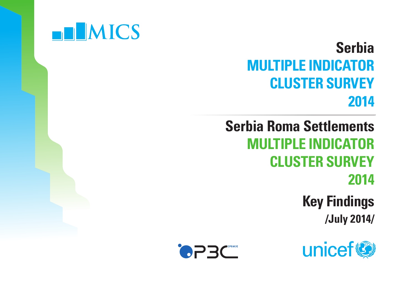

### **Serbia MULTIPLE INDICATOR CLUSTER SURVEY 2014**

**Serbia Roma Settlements MULTIPLE INDICATOR CLUSTER SURVEY 2014 Key Findings /July 2014/**



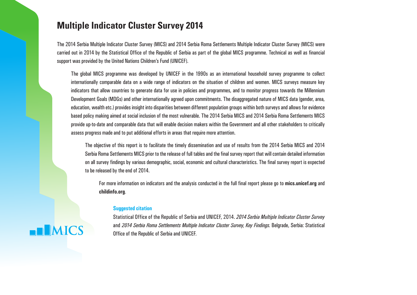#### **Multiple Indicator Cluster Survey 2014**

The 2014 Serbia Multiple Indicator Cluster Survey (MICS) and 2014 Serbia Roma Settlements Multiple Indicator Cluster Survey (MICS) were carried out in 2014 by the Statistical Office of the Republic of Serbia as part of the global MICS programme. Technical as well as financial support was provided by the United Nations Children's Fund (UNICEF).

The global MICS programme was developed by UNICEF in the 1990s as an international household survey programme to collect internationally comparable data on a wide range of indicators on the situation of children and women. MICS surveys measure key indicators that allow countries to generate data for use in policies and programmes, and to monitor progress towards the Millennium Development Goals (MDGs) and other internationally agreed upon commitments. The disaggregated nature of MICS data (gender, area, education, wealth etc.) provides insight into disparities between different population groups within both surveys and allows for evidence based policy making aimed at social inclusion of the most vulnerable. The 2014 Serbia MICS and 2014 Serbia Roma Settlements MICS provide up-to-date and comparable data that will enable decision makers within the Government and all other stakeholders to critically assess progress made and to put additional efforts in areas that require more attention.

The objective of this report is to facilitate the timely dissemination and use of results from the 2014 Serbia MICS and 2014 Serbia Roma Settlements MICS prior to the release of full tables and the final survey report that will contain detailed information on all survey findings by various demographic, social, economic and cultural characteristics. The final survey report is expected to be released by the end of 2014.

For more information on indicators and the analysis conducted in the full final report please go to **mics.unicef.org** and **childinfo.org**.

#### **Suggested citation**

**EN MICS** 

Statistical Office of the Republic of Serbia and UNICEF, 2014. *2014 Serbia Multiple Indicator Cluster Survey* and *2014 Serbia Roma Settlements Multiple Indicator Cluster Survey*, *Key Findings*. Belgrade, Serbia: Statistical Office of the Republic of Serbia and UNICEF.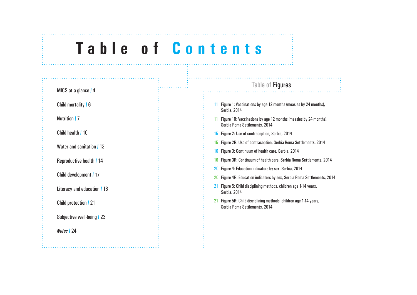### **Tab l e o f Contents**

|                             | Table of <b>Figures</b>                                                                           |
|-----------------------------|---------------------------------------------------------------------------------------------------|
| MICS at a glance   4        |                                                                                                   |
| Child mortality   6         | Figure 1: Vaccinations by age 12 months (measles by 24 months),<br>Serbia, 2014                   |
| Nutrition   7               | Figure 1R: Vaccinations by age 12 months (measles by 24 months),<br>Serbia Roma Settlements, 2014 |
| Child health   10           | 15 Figure 2: Use of contraception, Serbia, 2014                                                   |
| Water and sanitation / 13   | Figure 2R: Use of contraception, Serbia Roma Settlements, 2014<br>15                              |
|                             | Figure 3: Continuum of health care, Serbia, 2014<br>16                                            |
| Reproductive health   14    | Figure 3R: Continuum of health care, Serbia Roma Settlements, 2014<br>16                          |
|                             | Figure 4: Education indicators by sex, Serbia, 2014                                               |
| Child development   17      | 20 Figure 4R: Education indicators by sex, Serbia Roma Settlements, 2014                          |
| Literacy and education / 18 | 21 Figure 5: Child disciplining methods, children age 1-14 years,<br>Serbia, 2014                 |
| Child protection   21       | Figure 5R: Child disciplining methods, children age 1-14 years,<br>Serbia Roma Settlements, 2014  |
| Subjective well-being   23  |                                                                                                   |
| Notes   24                  |                                                                                                   |
|                             |                                                                                                   |
|                             |                                                                                                   |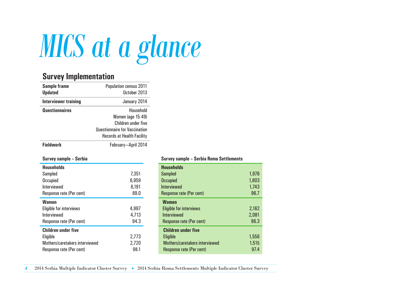

#### **Survey Implementation**

| <b>Sample frame</b><br><b>Updated</b> | <b>Population census 2011</b><br>October 2013                                                                                      |  |  |
|---------------------------------------|------------------------------------------------------------------------------------------------------------------------------------|--|--|
| Interviewer training                  | January 2014                                                                                                                       |  |  |
| <b>Questionnaires</b>                 | Household<br>Women (age 15-49)<br>Children under five<br><b>Questionnaire for Vaccination</b><br><b>Records at Health Facility</b> |  |  |
| <b>Fieldwork</b>                      | February-April 2014                                                                                                                |  |  |

#### **Survey sample – Serbia**

| <b>Households</b><br>Sampled<br>Occupied<br>Interviewed<br>Response rate (Per cent)                  | 7,351<br>6,959<br>6,191<br>89.0 |
|------------------------------------------------------------------------------------------------------|---------------------------------|
| <b>Women</b><br>Eligible for interviews<br>Interviewed<br>Response rate (Per cent)                   | 4,997<br>4,713<br>94.3          |
| <b>Children under five</b><br>Eligible<br>Mothers/caretakers interviewed<br>Response rate (Per cent) | 2.773<br>2,720<br>98.1          |

#### **Survey sample – Serbia Roma Settlements**

| <b>Households</b>              |       |
|--------------------------------|-------|
| <b>Sampled</b>                 | 1,976 |
| <b>Occupied</b>                | 1,803 |
| Interviewed                    | 1,743 |
| Response rate (Per cent)       | 96.7  |
| <b>Women</b>                   |       |
| <b>Eligible for interviews</b> | 2,162 |
| <b>Interviewed</b>             | 2,081 |
| Response rate (Per cent)       | 96.3  |
| <b>Children under five</b>     |       |
| Eligible                       | 1,556 |
| Mothers/caretakers interviewed | 1,515 |
| Response rate (Per cent)       | 97.4  |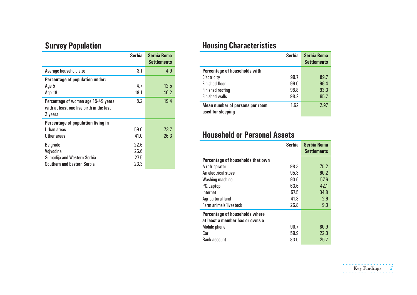#### **Survey Population**

|                                                                                            | Serbia                       | <b>Serbia Roma</b><br><b>Settlements</b> |
|--------------------------------------------------------------------------------------------|------------------------------|------------------------------------------|
| Average household size                                                                     | 3.1                          | 4.9                                      |
| <b>Percentage of population under:</b><br>Age 5<br>Age 18                                  | 4.7<br>18.1                  | 12.5<br>40.2                             |
| Percentage of women age 15-49 years<br>with at least one live birth in the last<br>2 years | 8.2                          | 19.4                                     |
| Percentage of population living in<br>Urban areas<br>Other areas                           | 59.0<br>41.0                 | 73.7<br>26.3                             |
| Belgrade<br>Vojvodina<br>Sumadija and Western Serbia<br>Southern and Eastern Serbia        | 22.6<br>26.6<br>27.5<br>23.3 |                                          |

### **Housing Characteristics**

|                                                      | <b>Serbia</b> | <b>Serbia Roma</b><br><b>Settlements</b> |
|------------------------------------------------------|---------------|------------------------------------------|
| Percentage of households with                        |               |                                          |
| Electricity                                          | 99.7          | 89.7                                     |
| <b>Finished floor</b>                                | 99.0          | 96.4                                     |
| <b>Finished roofing</b>                              | 98.8          | 93.3                                     |
| <b>Finished walls</b>                                | 98.2          | 95.7                                     |
| Mean number of persons per room<br>used for sleeping | 1.62          | 2.97                                     |

#### **Household or Personal Assets**

|                                                                          | Serbia | <b>Serbia Roma</b><br><b>Settlements</b> |
|--------------------------------------------------------------------------|--------|------------------------------------------|
| Percentage of households that own                                        |        |                                          |
| A refrigerator                                                           | 98.3   | 75.2                                     |
| An electrical stove                                                      | 95.3   | 60.2                                     |
| <b>Washing machine</b>                                                   | 93.6   | 57.6                                     |
| PC/Laptop                                                                | 63.6   | 42.1                                     |
| Internet                                                                 | 57.5   | 34.8                                     |
| Agricultural land                                                        | 41.3   | 2.6                                      |
| Farm animals/livestock                                                   | 26.8   | 9.3                                      |
| <b>Percentage of households where</b><br>at least a member has or owns a |        |                                          |
| Mobile phone                                                             | 90.7   | 80.9                                     |
| Car                                                                      | 59.9   | 22.3                                     |
| <b>Bank account</b>                                                      | 83.0   | 25.7                                     |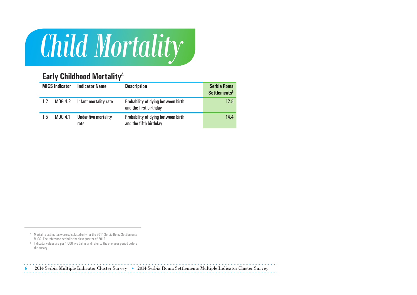## *Child Mortality*

#### **Early Childhood MortalityA**

|         | <b>MICS Indicator</b> | <b>Indicator Name</b>        | <b>Description</b>                                           | <b>Serbia Roma</b><br><b>Settlements</b> <sup>B</sup> |
|---------|-----------------------|------------------------------|--------------------------------------------------------------|-------------------------------------------------------|
| $1.2\,$ | MDG 4.2               | Infant mortality rate        | Probability of dying between birth<br>and the first birthday | 12.8                                                  |
| 1.5     | MDG 4.1               | Under-five mortality<br>rate | Probability of dying between birth<br>and the fifth birthday | 14.4                                                  |

<sup>&</sup>lt;sup>A</sup> Mortality estimates were calculated only for the 2014 Serbia Roma Settlements MICS. The reference period is the first quarter of 2012.

<sup>&</sup>lt;sup>B</sup> Indicator values are per 1,000 live births and refer to the one-year period before the survey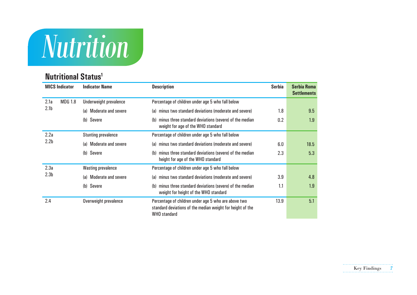## *Nutrition*

#### **Nutritional Status1**

|                  | <b>MICS Indicator</b>                                                                           | <b>Indicator Name</b>             | <b>Description</b>                                                                                                                        | <b>Serbia</b> | <b>Serbia Roma</b><br><b>Settlements</b> |
|------------------|-------------------------------------------------------------------------------------------------|-----------------------------------|-------------------------------------------------------------------------------------------------------------------------------------------|---------------|------------------------------------------|
| 2.1a             | <b>MDG 1.8</b>                                                                                  | Underweight prevalence            | Percentage of children under age 5 who fall below                                                                                         |               |                                          |
| 2.1 <sub>b</sub> |                                                                                                 | Moderate and severe<br>(a)        | minus two standard deviations (moderate and severe)<br>(a)                                                                                | 1.8           | 9.5                                      |
|                  |                                                                                                 | (b) Severe                        | minus three standard deviations (severe) of the median<br>0.2<br>(b)<br>weight for age of the WHO standard                                |               | 1.9                                      |
| 2.2a             |                                                                                                 | <b>Stunting prevalence</b>        | Percentage of children under age 5 who fall below                                                                                         |               |                                          |
| 2.2 <sub>b</sub> | minus two standard deviations (moderate and severe)<br><b>Moderate and severe</b><br>(a)<br>(a) |                                   | 6.0                                                                                                                                       | 18.5          |                                          |
|                  |                                                                                                 | Severe<br>(b)                     | minus three standard deviations (severe) of the median<br>2.3<br>(h)<br>height for age of the WHO standard                                |               | 5.3                                      |
| 2.3a             |                                                                                                 | <b>Wasting prevalence</b>         | Percentage of children under age 5 who fall below                                                                                         |               |                                          |
| 2.3 <sub>b</sub> |                                                                                                 | <b>Moderate and severe</b><br>(a) | minus two standard deviations (moderate and severe)<br>(a)                                                                                | 3.9           | 4.8                                      |
|                  |                                                                                                 | Severe<br>(b)                     | minus three standard deviations (severe) of the median<br>(b)<br>weight for height of the WHO standard                                    | 1.1           | 1.9                                      |
| 2.4              |                                                                                                 | Overweight prevalence             | Percentage of children under age 5 who are above two<br>standard deviations of the median weight for height of the<br><b>WHO</b> standard | 13.9          | 5.1                                      |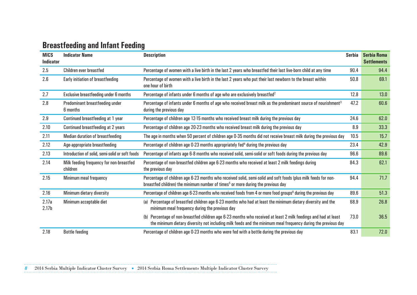#### **Breastfeeding and Infant Feeding**

| <b>MICS</b><br><b>Indicator</b> | <b>Indicator Name</b>                                | <b>Description</b>                                                                                                                                                                                                                  | <b>Serbia</b> | <b>Serbia Roma</b><br><b>Settlements</b> |
|---------------------------------|------------------------------------------------------|-------------------------------------------------------------------------------------------------------------------------------------------------------------------------------------------------------------------------------------|---------------|------------------------------------------|
| 2.5                             | Children ever breastfed                              | Percentage of women with a live birth in the last 2 years who breastfed their last live-born child at any time                                                                                                                      | 90.4          | 94.4                                     |
| 2.6                             | Early initiation of breastfeeding                    | Percentage of women with a live birth in the last 2 years who put their last newborn to the breast within<br>one hour of birth                                                                                                      | 50.8          | 69.1                                     |
| 2.7                             | Exclusive breastfeeding under 6 months               | Percentage of infants under 6 months of age who are exclusively breastfed <sup>2</sup>                                                                                                                                              | 12.8          | 13.0                                     |
| 2.8                             | Predominant breastfeeding under<br>6 months          | Percentage of infants under 6 months of age who received breast milk as the predominant source of nourishment <sup>3</sup><br>during the previous day                                                                               | 47.2          | 60.6                                     |
| 2.9                             | Continued breastfeeding at 1 year                    | Percentage of children age 12-15 months who received breast milk during the previous day                                                                                                                                            | 24.6          | 62.0                                     |
| 2.10                            | Continued breastfeeding at 2 years                   | Percentage of children age 20-23 months who received breast milk during the previous day                                                                                                                                            | 8.9           | 33.3                                     |
| 2.11                            | Median duration of breastfeeding                     | The age in months when 50 percent of children age 0-35 months did not receive breast milk during the previous day                                                                                                                   | 10.5          | 15.7                                     |
| 2.12                            | Age-appropriate breastfeeding                        | Percentage of children age 0-23 months appropriately fed <sup>4</sup> during the previous day                                                                                                                                       | 23.4          | 42.9                                     |
| 2.13                            | Introduction of solid, semi-solid or soft foods      | Percentage of infants age 6-8 months who received solid, semi-solid or soft foods during the previous day                                                                                                                           | 96.6          | 89.6                                     |
| 2.14                            | Milk feeding frequency for non-breastfed<br>children | Percentage of non-breastfed children age 6-23 months who received at least 2 milk feedings during<br>the previous day                                                                                                               | 84.3          | 62.1                                     |
| 2.15                            | Minimum meal frequency                               | Percentage of children age 6-23 months who received solid, semi-solid and soft foods (plus milk feeds for non-<br>breastfed children) the minimum number of times <sup>5</sup> or more during the previous day                      | 94.4          | 71.7                                     |
| 2.16                            | Minimum dietary diversity                            | Percentage of children age 6-23 months who received foods from 4 or more food groups <sup>6</sup> during the previous day                                                                                                           | 89.6          | 51.3                                     |
| 2.17a<br>2.17 <sub>b</sub>      | Minimum acceptable diet                              | (a) Percentage of breastfed children age 6-23 months who had at least the minimum dietary diversity and the<br>minimum meal frequency during the previous day                                                                       | 68.9          | 26.8                                     |
|                                 |                                                      | Percentage of non-breastfed children age 6-23 months who received at least 2 milk feedings and had at least<br>(h)<br>the minimum dietary diversity not including milk feeds and the minimum meal frequency during the previous day | 73.0          | 36.5                                     |
| 2.18                            | <b>Bottle feeding</b>                                | Percentage of children age 0-23 months who were fed with a bottle during the previous day                                                                                                                                           | 83.1          | 72.0                                     |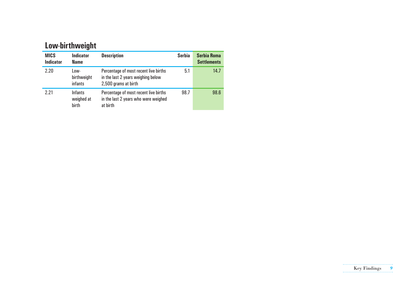#### **Low-birthweight**

| <b>MICS</b><br><b>Indicator</b> | <b>Indicator</b><br><b>Name</b>       | <b>Description</b>                                                                                  | <b>Serbia</b> | <b>Serbia Roma</b><br><b>Settlements</b> |
|---------------------------------|---------------------------------------|-----------------------------------------------------------------------------------------------------|---------------|------------------------------------------|
| 2.20                            | Low-<br>birthweight<br>infants        | Percentage of most recent live births<br>in the last 2 years weighing below<br>2,500 grams at birth | 5.1           | 14.7                                     |
| 2.21                            | <b>Infants</b><br>weighed at<br>birth | Percentage of most recent live births<br>in the last 2 years who were weighed<br>at birth           | 98.7          | 98.6                                     |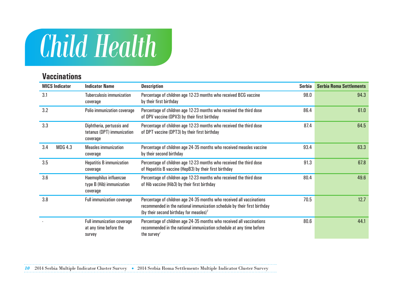### *Child Health*

#### **Vaccinations**

| <b>MICS Indicator</b><br><b>Indicator Name</b> |                                                                       | <b>Description</b>                                                                                                                                                                                        | Serbia | <b>Serbia Roma Settlements</b> |
|------------------------------------------------|-----------------------------------------------------------------------|-----------------------------------------------------------------------------------------------------------------------------------------------------------------------------------------------------------|--------|--------------------------------|
| 3.1                                            | <b>Tuberculosis immunization</b><br>coverage                          | Percentage of children age 12-23 months who received BCG vaccine<br>by their first birthday                                                                                                               | 98.0   | 94.3                           |
| 3.2                                            | Polio immunization coverage                                           | Percentage of children age 12-23 months who received the third dose<br>of OPV vaccine (OPV3) by their first birthday                                                                                      | 86.4   | 61.0                           |
| 3.3                                            | Diphtheria, pertussis and<br>tetanus (DPT) immunization<br>coverage   | Percentage of children age 12-23 months who received the third dose<br>of DPT vaccine (DPT3) by their first birthday                                                                                      | 87.4   | 64.5                           |
| 3.4<br><b>MDG 4.3</b>                          | <b>Measles</b> immunization<br>coverage                               | Percentage of children age 24-35 months who received measles vaccine<br>by their second birthday                                                                                                          | 93.4   | 63.3                           |
| 3.5                                            | <b>Hepatitis B</b> immunization<br>coverage                           | Percentage of children age 12-23 months who received the third dose<br>of Hepatitis B vaccine (HepB3) by their first birthday                                                                             | 91.3   | 67.8                           |
| 3.6                                            | Haemophilus influenzae<br>type B (Hib) immunization<br>coverage       | Percentage of children age 12-23 months who received the third dose<br>of Hib vaccine (Hib3) by their first birthday                                                                                      | 80.4   | 49.6                           |
| 3.8                                            | <b>Full immunization coverage</b>                                     | Percentage of children age 24-35 months who received all vaccinations<br>recommended in the national immunization schedule by their first birthday<br>(by their second birthday for measles) <sup>7</sup> | 70.5   | 12.7                           |
|                                                | <b>Full immunization coverage</b><br>at any time before the<br>survey | Percentage of children age 24-35 months who received all vaccinations<br>recommended in the national immunization schedule at any time before<br>the survey $\sqrt{ }$                                    | 80.6   | 44.1                           |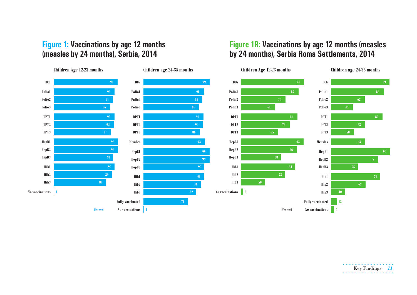#### **Figure 1: Vaccinations by age 12 months (measles by 24 months), Serbia, 2014**

#### **Figure 1R: Vaccinations by age 12 months (measles by 24 months), Serbia Roma Settlements, 2014**

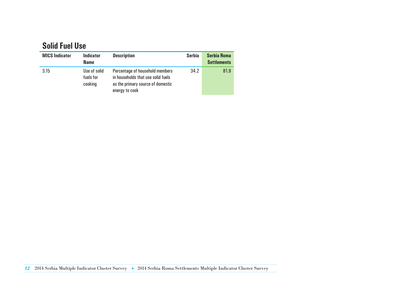#### **Solid Fuel Use**

| <b>MICS Indicator</b> | <b>Indicator</b><br><b>Name</b>      | <b>Description</b>                                                                                                           | <b>Serbia</b> | <b>Serbia Roma</b><br><b>Settlements</b> |
|-----------------------|--------------------------------------|------------------------------------------------------------------------------------------------------------------------------|---------------|------------------------------------------|
| 3.15                  | Use of solid<br>fuels for<br>cooking | Percentage of household members<br>in households that use solid fuels<br>as the primary source of domestic<br>energy to cook | 34.2          | 81.9                                     |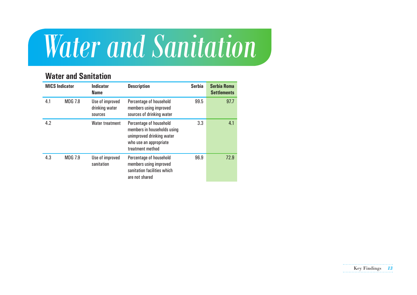### *Water and Sanitation*

#### **Water and Sanitation**

| <b>MICS Indicator</b> |                | <b>Indicator</b><br><b>Description</b><br><b>Name</b> |                                                                                                                                   | <b>Serbia</b> | <b>Serbia Roma</b><br><b>Settlements</b> |  |
|-----------------------|----------------|-------------------------------------------------------|-----------------------------------------------------------------------------------------------------------------------------------|---------------|------------------------------------------|--|
| 4.1                   | <b>MDG 7.8</b> | Use of improved<br>drinking water<br>sources          | Percentage of household<br>members using improved<br>sources of drinking water                                                    | 99.5          | 97.7                                     |  |
| 4.2                   |                | Water treatment                                       | Percentage of household<br>members in households using<br>unimproved drinking water<br>who use an appropriate<br>treatment method | 3.3           | 4.1                                      |  |
| 4.3                   | <b>MDG 7.9</b> | Use of improved<br>sanitation                         | Percentage of household<br>members using improved<br>sanitation facilities which<br>are not shared                                | 96.9          | 72.9                                     |  |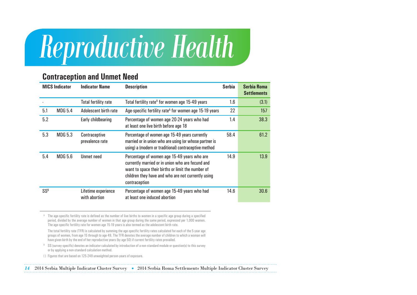### *Reproductive Health*

#### **Contraception and Unmet Need**

|        | <b>MICS Indicator</b> | <b>Indicator Name</b>                | <b>Description</b>                                                                                                                                                                                                          | <b>Serbia</b> | <b>Serbia Roma</b><br><b>Settlements</b> |
|--------|-----------------------|--------------------------------------|-----------------------------------------------------------------------------------------------------------------------------------------------------------------------------------------------------------------------------|---------------|------------------------------------------|
|        |                       | <b>Total fertility rate</b>          | Total fertility rate <sup>A</sup> for women age 15-49 years                                                                                                                                                                 | 1.6           | (3.1)                                    |
| 5.1    | MDG 5.4               | Adolescent birth rate                | Age-specific fertility rate <sup>A</sup> for women age 15-19 years                                                                                                                                                          | 22            | 157                                      |
| 5.2    |                       | Early childbearing                   | Percentage of women age 20-24 years who had<br>at least one live birth before age 18                                                                                                                                        | 1.4           | 38.3                                     |
| 5.3    | <b>MDG 5.3</b>        | Contraceptive<br>prevalence rate     | Percentage of women age 15-49 years currently<br>married or in union who are using (or whose partner is<br>using) a (modern or traditional) contraceptive method                                                            | 58.4          | 61.2                                     |
| 5.4    | <b>MDG 5.6</b>        | <b>Unmet need</b>                    | Percentage of women age 15-49 years who are<br>currently married or in union who are fecund and<br>want to space their births or limit the number of<br>children they have and who are not currently using<br>contraception | 14.9          | 13.9                                     |
| $SS^B$ |                       | Lifetime experience<br>with abortion | Percentage of women age 15-49 years who had<br>at least one induced abortion                                                                                                                                                | 14.6          | 30.6                                     |

A The age-specific fertility rate is defined as the number of live births to women in a specific age group during a specified period, divided by the average number of women in that age group during the same period, expressed per 1,000 women. The age-specific fertility rate for women age 15-19 years is also termed as the adolescent birth rate.

 The total fertility rate (TFR) is calculated by summing the age-specific fertility rates calculated for each of the 5-year age groups of women, from age 15 through to age 49. The TFR denotes the average number of children to which a woman will have given birth by the end of her reproductive years (by age 50) if current fertility rates prevailed.

B SS (survey-specific) denotes an indicator calculated by introduction of a non-standard module or question(s) to this survey or by applying a non-standard calculation method.

( ) Figures that are based on 125-249 unweighted person-years of exposure.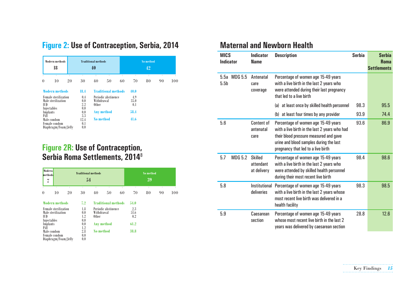|  |  | Figure 2: Use of Contraception, Serbia, 2014 |  |  |
|--|--|----------------------------------------------|--|--|
|--|--|----------------------------------------------|--|--|

| <b>Modern methods</b><br>18                                                                                                                                                   |                                                                              | <b>Traditional methods</b><br>40 |                                                                        |    |                                            | <b>No method</b><br>42 |    |     |
|-------------------------------------------------------------------------------------------------------------------------------------------------------------------------------|------------------------------------------------------------------------------|----------------------------------|------------------------------------------------------------------------|----|--------------------------------------------|------------------------|----|-----|
| ٠<br>10<br>$\theta$                                                                                                                                                           | 20<br>30                                                                     | 40                               | 50                                                                     | 60 | 70                                         | 80                     | 90 | 100 |
| <b>Modern methods</b><br><b>Female sterilization</b><br>Male sterilization<br>IUD.<br>Injectables<br>Implants<br>Pill<br>Male condom<br>Female condom<br>Diaphragm/Foam/Jelly | 18.4<br>0.4<br>0.0<br>$2.2\,$<br>0.0<br>0.0<br>$3.3\,$<br>12.4<br>0.1<br>0.0 | Withdrawal<br>0ther<br>No method | <b>Traditional methods</b><br>Periodic abstinence<br><b>Any method</b> |    | 40.0<br>4.9<br>35.0<br>0.1<br>58.4<br>41.6 |                        |    |     |

#### **Figure 2R: Use of Contraception, Serbia Roma Settlements, 2014**<sup>8</sup>

| Modern<br>methods<br>7 |                                                                  |    | <b>Traditional methods</b><br>54 |                     |                            |    |                    | <b>No method</b><br>39 |         |     |
|------------------------|------------------------------------------------------------------|----|----------------------------------|---------------------|----------------------------|----|--------------------|------------------------|---------|-----|
| $\theta$               | 10                                                               | 20 | 30                               | 40                  | 50                         | 60 | п<br>70            | п<br>80                | п<br>90 | 100 |
|                        | <b>Modern methods</b>                                            |    | 7.2                              |                     | <b>Traditional methods</b> |    | 54.0               |                        |         |     |
| IUD.                   | <b>Female sterilization</b><br>Male sterilization<br>Injectables |    | $1.8\,$<br>0.0<br>$1.2\,$<br>0.0 | Withdrawal<br>0ther | Periodic abstinence        |    | 2.3<br>51.6<br>0.2 |                        |         |     |
| Implants<br>Pill       |                                                                  |    | 0.0<br>1.2                       |                     | <b>Any method</b>          |    | 61.2               |                        |         |     |
|                        | Male condom<br>Female condom<br>Diaphragm/Foam/Jelly             |    | 2.8<br>0.0<br>0.0                | <b>No method</b>    |                            |    | 38.8               |                        |         |     |

#### **Maternal and Newborn Health**

| <b>MICS</b><br><b>Indicator</b> |                | <b>Indicator</b><br><b>Name</b>            | <b>Description</b>                                                                                                                                                                                              | <b>Serbia</b> | <b>Serbia</b><br><b>Roma</b><br><b>Settlements</b> |
|---------------------------------|----------------|--------------------------------------------|-----------------------------------------------------------------------------------------------------------------------------------------------------------------------------------------------------------------|---------------|----------------------------------------------------|
| 5.5a<br>5.5 <sub>b</sub>        | MDG 5.5        | Antenatal<br>care<br>coverage              | Percentage of women age 15-49 years<br>with a live birth in the last 2 years who<br>were attended during their last pregnancy<br>that led to a live birth                                                       |               |                                                    |
|                                 |                |                                            | (a) at least once by skilled health personnel                                                                                                                                                                   | 98.3          | 95.5                                               |
|                                 |                |                                            | (b) at least four times by any provider                                                                                                                                                                         | 93.9          | 74.4                                               |
| 5.6                             |                | <b>Content of</b><br>antenatal<br>care     | Percentage of women age 15-49 years<br>with a live birth in the last 2 years who had<br>their blood pressure measured and gave<br>urine and blood samples during the last<br>pregnancy that led to a live birth | 93.6          | 86.9                                               |
| 5.7                             | <b>MDG 5.2</b> | <b>Skilled</b><br>attendant<br>at delivery | Percentage of women age 15-49 years<br>with a live birth in the last 2 years who<br>were attended by skilled health personnel<br>during their most recent live birth                                            | 98.4          | 98.6                                               |
| 5.8                             |                | Institutional<br>deliveries                | Percentage of women age 15-49 years<br>with a live birth in the last 2 years whose<br>most recent live birth was delivered in a<br>health facility                                                              | 98.3          | 98.5                                               |
| 5.9                             |                | Caesarean<br>section                       | Percentage of women age 15-49 years<br>whose most recent live birth in the last 2<br>years was delivered by caesarean section                                                                                   | 28.8          | 12.6                                               |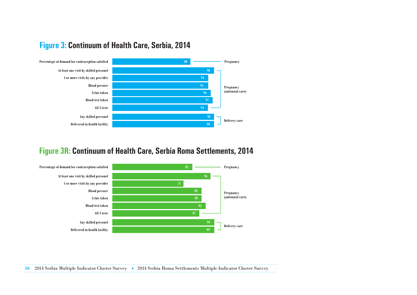

#### **Figure 3: Continuum of Health Care, Serbia, 2014**

#### **Figure 3R: Continuum of Health Care, Serbia Roma Settlements, 2014**

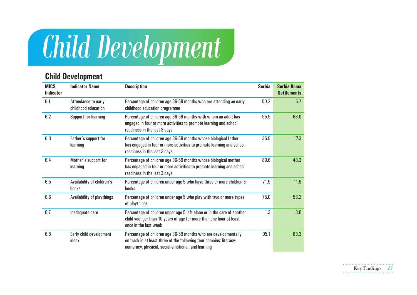## *Child Development*

#### **Child Development**

| <b>MICS</b><br><b>Indicator</b> | <b>Indicator Name</b>                      | <b>Description</b>                                                                                                                                                                           | <b>Serbia</b> | <b>Serbia Roma</b><br><b>Settlements</b> |
|---------------------------------|--------------------------------------------|----------------------------------------------------------------------------------------------------------------------------------------------------------------------------------------------|---------------|------------------------------------------|
| 6.1                             | Attendance to early<br>childhood education | Percentage of children age 36-59 months who are attending an early<br>childhood education programme                                                                                          | 50.2          | 5.7                                      |
| 6.2                             | Support for learning                       | Percentage of children age 36-59 months with whom an adult has<br>engaged in four or more activities to promote learning and school<br>readiness in the last 3 days                          | 95.5          | 68.0                                     |
| 6.3                             | Father's support for<br>learning           | Percentage of children age 36-59 months whose biological father<br>has engaged in four or more activities to promote learning and school<br>readiness in the last 3 days                     | 36.5          | 17.3                                     |
| 6.4                             | Mother's support for<br>learning           | Percentage of children age 36-59 months whose biological mother<br>has engaged in four or more activities to promote learning and school<br>readiness in the last 3 days                     | 89.6          | 48.3                                     |
| 6.5                             | Availability of children's<br><b>books</b> | Percentage of children under age 5 who have three or more children's<br>books                                                                                                                | 71.9          | 11.9                                     |
| 6.6                             | Availability of playthings                 | Percentage of children under age 5 who play with two or more types<br>of playthings                                                                                                          | 75.0          | 53.2                                     |
| 6.7                             | Inadequate care                            | Percentage of children under age 5 left alone or in the care of another<br>child younger than 10 years of age for more than one hour at least<br>once in the last week                       | 1.3           | 3.6                                      |
| 6.8                             | Early child development<br>index           | Percentage of children age 36-59 months who are developmentally<br>on track in at least three of the following four domains: literacy-<br>numeracy, physical, social-emotional, and learning | 95.1          | 83.3                                     |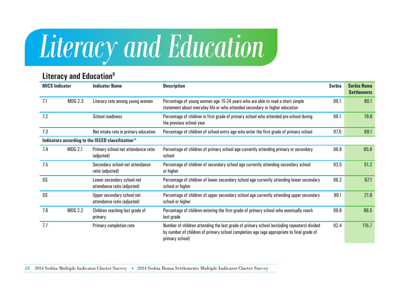# *Literacy and Education*

#### **Literacy and Education9**

| <b>MICS Indicator</b> |                                                                                                                                               | <b>Indicator Name</b>                                          | <b>Description</b>                                                                                                                                                                                          | <b>Serbia</b> | <b>Serbia Roma</b><br><b>Settlements</b> |
|-----------------------|-----------------------------------------------------------------------------------------------------------------------------------------------|----------------------------------------------------------------|-------------------------------------------------------------------------------------------------------------------------------------------------------------------------------------------------------------|---------------|------------------------------------------|
| 7.1                   | <b>MDG 2.3</b>                                                                                                                                | Literacy rate among young women                                | Percentage of young women age 15-24 years who are able to read a short simple<br>statement about everyday life or who attended secondary or higher education                                                | 99.1          | 80.1                                     |
| 7.2                   | Percentage of children in first grade of primary school who attended pre-school during<br><b>School readiness</b><br>the previous school year |                                                                | 98.1                                                                                                                                                                                                        | 79.9          |                                          |
| 7.3                   |                                                                                                                                               | Net intake rate in primary education                           | Percentage of children of school-entry age who enter the first grade of primary school                                                                                                                      | 97.0          | 69.1                                     |
|                       |                                                                                                                                               | Indicators according to the ISCED classification <sup>10</sup> |                                                                                                                                                                                                             |               |                                          |
| 7.4                   | <b>MDG 2.1</b>                                                                                                                                | Primary school net attendance ratio<br>(adjusted)              | Percentage of children of primary school age currently attending primary or secondary<br>school                                                                                                             | 98.8          | 85.8                                     |
| 7.5                   |                                                                                                                                               | Secondary school net attendance<br>ratio (adjusted)            | Percentage of children of secondary school age currently attending secondary school<br>or higher                                                                                                            | 93.5          | 51.2                                     |
| SS                    |                                                                                                                                               | Lower secondary school net<br>attendance ratio (adjusted)      | Percentage of children of lower secondary school age currently attending lower secondary<br>school or higher                                                                                                | 96.2          | 67.1                                     |
| SS                    |                                                                                                                                               | Upper secondary school net<br>attendance ratio (adjusted)      | Percentage of children of upper secondary school age currently attending upper secondary<br>school or higher                                                                                                | 89.1          | 21.6                                     |
| 7.6                   | <b>MDG 2.2</b>                                                                                                                                | Children reaching last grade of<br>primary                     | Percentage of children entering the first grade of primary school who eventually reach<br>last grade                                                                                                        | 99.8          | 96.5                                     |
| 7.7                   |                                                                                                                                               | Primary completion rate                                        | Number of children attending the last grade of primary school (excluding repeaters) divided<br>by number of children of primary school completion age (age appropriate to final grade of<br>primary school) | 92.4          | 115.7                                    |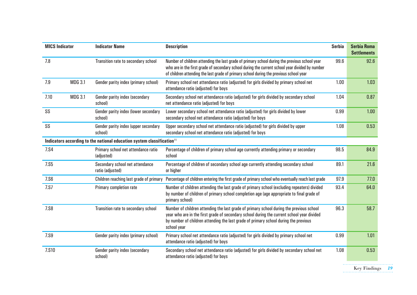| <b>MICS Indicator</b> |                | <b>Indicator Name</b>                                                              | <b>Description</b>                                                                                                                                                                                                                                                                            | <b>Serbia</b> | <b>Serbia Roma</b><br><b>Settlements</b> |
|-----------------------|----------------|------------------------------------------------------------------------------------|-----------------------------------------------------------------------------------------------------------------------------------------------------------------------------------------------------------------------------------------------------------------------------------------------|---------------|------------------------------------------|
| 7.8                   |                | Transition rate to secondary school                                                | Number of children attending the last grade of primary school during the previous school year<br>who are in the first grade of secondary school during the current school year divided by number<br>of children attending the last grade of primary school during the previous school year    | 99.6          | 92.6                                     |
| 7.9                   | <b>MDG 3.1</b> | Gender parity index (primary school)                                               | Primary school net attendance ratio (adjusted) for girls divided by primary school net<br>attendance ratio (adjusted) for boys                                                                                                                                                                | 1.00          | 1.03                                     |
| 7.10                  | <b>MDG 3.1</b> | Gender parity index (secondary<br>school)                                          | Secondary school net attendance ratio (adjusted) for girls divided by secondary school<br>net attendance ratio (adjusted) for boys                                                                                                                                                            | 1.04          | 0.87                                     |
| SS                    |                | Gender parity index (lower secondary<br>school)                                    | Lower secondary school net attendance ratio (adjusted) for girls divided by lower<br>secondary school net attendance ratio (adjusted) for boys                                                                                                                                                | 0.99          | 1.00                                     |
| SS                    |                | Gender parity index (upper secondary<br>school)                                    | Upper secondary school net attendance ratio (adjusted) for girls divided by upper<br>secondary school net attendance ratio (adjusted) for boys                                                                                                                                                | 1.08          | 0.53                                     |
|                       |                | Indicators according to the national education system classification <sup>11</sup> |                                                                                                                                                                                                                                                                                               |               |                                          |
| 7.S4                  |                | Primary school net attendance ratio<br>(adjusted)                                  | Percentage of children of primary school age currently attending primary or secondary<br>school                                                                                                                                                                                               | 98.5          | 84.9                                     |
| <b>7.S5</b>           |                | Secondary school net attendance<br>ratio (adjusted)                                | Percentage of children of secondary school age currently attending secondary school<br>or higher                                                                                                                                                                                              | 89.1          | 21.6                                     |
| <b>7.S6</b>           |                | Children reaching last grade of primary                                            | Percentage of children entering the first grade of primary school who eventually reach last grade                                                                                                                                                                                             | 97.9          | 77.0                                     |
| 7.S7                  |                | Primary completion rate                                                            | Number of children attending the last grade of primary school (excluding repeaters) divided<br>by number of children of primary school completion age (age appropriate to final grade of<br>primary school)                                                                                   | 93.4          | 64.0                                     |
| <b>7.S8</b>           |                | Transition rate to secondary school                                                | Number of children attending the last grade of primary school during the previous school<br>year who are in the first grade of secondary school during the current school year divided<br>by number of children attending the last grade of primary school during the previous<br>school year | 96.3          | 58.7                                     |
| <b>7.S9</b>           |                | Gender parity index (primary school)                                               | Primary school net attendance ratio (adjusted) for girls divided by primary school net<br>attendance ratio (adjusted) for boys                                                                                                                                                                | 0.99          | 1.01                                     |
| 7.S10                 |                | Gender parity index (secondary<br>school)                                          | Secondary school net attendance ratio (adjusted) for girls divided by secondary school net<br>attendance ratio (adjusted) for boys                                                                                                                                                            | 1.08          | 0.53                                     |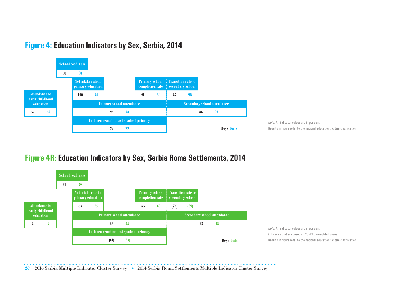



#### **Figure 4R: Education Indicators by Sex, Serbia Roma Settlements, 2014**



*Note:* All indicator values are in per cent ( ) Figures that are based on 25-49 unweighted cases Results in figure refer to the national education system clasification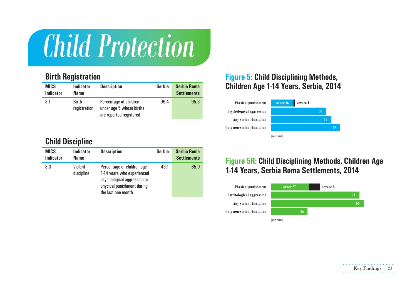### *Child Protection*

#### **Birth Registration**

| <b>MICS</b><br><b>Indicator</b> | <b>Indicator</b><br><b>Name</b> | <b>Description</b>                                                            | <b>Serbia</b> | <b>Serbia Roma</b><br><b>Settlements</b> |
|---------------------------------|---------------------------------|-------------------------------------------------------------------------------|---------------|------------------------------------------|
| 8.1                             | <b>Birth</b><br>registration    | Percentage of children<br>under age 5 whose births<br>are reported registered | 99.4          | 95.3                                     |

#### **Child Discipline**

| <b>MICS</b><br><b>Indicator</b> | <b>Indicator</b><br><b>Name</b> | <b>Description</b>                                                                                                                          | <b>Serbia</b> | <b>Serbia Roma</b><br><b>Settlements</b> |
|---------------------------------|---------------------------------|---------------------------------------------------------------------------------------------------------------------------------------------|---------------|------------------------------------------|
| 8.3                             | Violent<br>discipline           | Percentage of children age<br>1-14 years who experienced<br>psychological aggression or<br>physical punishment during<br>the last one month | 43.1          | 65.9                                     |

#### **Figure 5: Child Disciplining Methods, Children Age 1-14 Years, Serbia, 2014**



#### **Figure 5 R: Child Disciplining Methods, Children Age 1-14 Years, Serbia Roma Settlements, 2014**

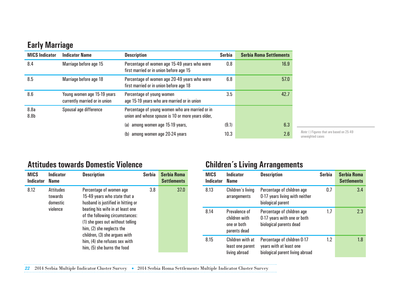#### **Early Marriage**

| <b>MICS Indicator</b>    | <b>Indicator Name</b>                                        | <b>Description</b>                                                                                   | <b>Serbia</b> | <b>Serbia Roma Settlements</b> |
|--------------------------|--------------------------------------------------------------|------------------------------------------------------------------------------------------------------|---------------|--------------------------------|
| 8.4                      | Marriage before age 15                                       | Percentage of women age 15-49 years who were<br>first married or in union before age 15              | 0.8           | 16.9                           |
| 8.5                      | Marriage before age 18                                       | Percentage of women age 20-49 years who were<br>first married or in union before age 18              | 6.8           | 57.0                           |
| 8.6                      | Young women age 15-19 years<br>currently married or in union | Percentage of young women<br>age 15-19 years who are married or in union                             | 3.5           | 42.7                           |
| 8.8a<br>8.8 <sub>b</sub> | Spousal age difference                                       | Percentage of young women who are married or in<br>union and whose spouse is 10 or more years older, |               |                                |
|                          |                                                              | among women age 15-19 years,<br>(a)                                                                  | (9.1)         | 6.3                            |
|                          |                                                              | among women age 20-24 years<br>(b)                                                                   | 10.3          | 2.6                            |

*Note:* ( ) Figures that are based on 25-49 unweighted cases

#### **Attitudes towards Domestic Violence**

| <b>MICS</b><br><b>Indicator</b> | <b>Indicator</b><br><b>Name</b>                     | <b>Description</b>                                                                                                                                                                                                                                                                                                                     | <b>Serbia</b> | <b>Serbia Roma</b><br><b>Settlements</b> |
|---------------------------------|-----------------------------------------------------|----------------------------------------------------------------------------------------------------------------------------------------------------------------------------------------------------------------------------------------------------------------------------------------------------------------------------------------|---------------|------------------------------------------|
| 8.12                            | <b>Attitudes</b><br>towards<br>domestic<br>violence | Percentage of women age<br>15-49 years who state that a<br>husband is justified in hitting or<br>beating his wife in at least one<br>of the following circumstances:<br>(1) she goes out without telling<br>him, (2) she neglects the<br>children, (3) she argues with<br>him, (4) she refuses sex with<br>him, (5) she burns the food | 3.8           | 37.0                                     |

#### **Children´s Living Arrangements**

| <b>MICS</b><br><b>Indicator</b> | Indicator<br><b>Name</b>                                      | <b>Description</b>                                                                        | <b>Serbia</b> | <b>Serbia Roma</b><br><b>Settlements</b> |
|---------------------------------|---------------------------------------------------------------|-------------------------------------------------------------------------------------------|---------------|------------------------------------------|
| 8.13                            | Children's living<br>arrangements                             | Percentage of children age<br>0-17 years living with neither<br>biological parent         | 0.7           | 3.4                                      |
| 8.14                            | Prevalence of<br>children with<br>one or both<br>parents dead | Percentage of children age<br>0-17 years with one or both<br>biological parents dead      | 1.7           | 2.3                                      |
| 8.15                            | Children with at<br>least one parent<br>living abroad         | Percentage of children 0-17<br>years with at least one<br>biological parent living abroad | 1.2           | 1.8                                      |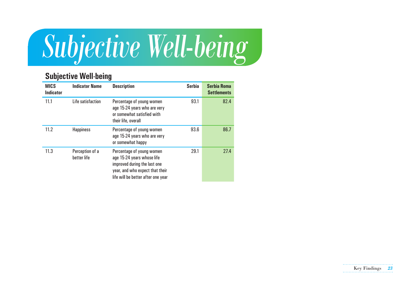

#### **Subjective Well-being**

| <b>MICS</b><br><b>Indicator</b> | <b>Indicator Name</b>          | <b>Description</b>                                                                                                                                               | <b>Serbia</b> | <b>Serbia Roma</b><br><b>Settlements</b> |
|---------------------------------|--------------------------------|------------------------------------------------------------------------------------------------------------------------------------------------------------------|---------------|------------------------------------------|
| 11.1                            | Life satisfaction              | Percentage of young women<br>age 15-24 years who are very<br>or somewhat satisfied with<br>their life, overall                                                   | 93.1          | 82.4                                     |
| 11.2                            | <b>Happiness</b>               | Percentage of young women<br>age 15-24 years who are very<br>or somewhat happy                                                                                   | 93.6          | 86.7                                     |
| 11.3                            | Perception of a<br>better life | Percentage of young women<br>age 15-24 years whose life<br>improved during the last one<br>year, and who expect that their<br>life will be better after one year | 29.1          | 27.4                                     |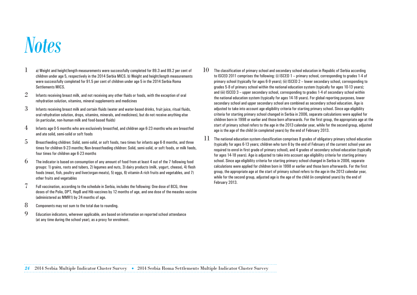### **Notes**

- $\,1\,-\,$  a) Weight and height/length measurements were successfully completed for 89.3 and 89.2 per cent of children under age 5, respectively in the 2014 Serbia MICS. b) Weight and height/length measurements were successfully completed for 91.5 per cent of children under age 5 in the 2014 Serbia Roma Settlements MICS.
- $\,2\,-\,$  Infants receiving breast milk, and not receiving any other fluids or foods, with the exception of oral rehydration solution, vitamins, mineral supplements and medicines
- $\,3$  Infants receiving breast milk and certain fluids (water and water-based drinks, fruit iuice, ritual fluids, oral rehydration solution, drops, vitamins, minerals, and medicines), but do not receive anything else (in particular, non-human milk and food-based fluids)
- $4$  Infants age 0-5 months who are exclusively breastfed, and children age 6-23 months who are breastfed and ate solid, semi-solid or soft foods
- $5$  Breastfeeding children: Solid, semi-solid, or soft foods, two times for infants age 6-8 months, and three times for children 9-23 months; Non-breastfeeding children: Solid, semi-solid, or soft foods, or milk feeds, four times for children age 6-23 months
- $6\,$  The indicator is based on consumption of any amount of food from at least 4 out of the 7 following food groups: 1) grains, roots and tubers, 2) legumes and nuts, 3) dairy products (milk, yogurt, cheese), 4) flesh foods (meat, fish, poultry and liver/organ meats), 5) eggs, 6) vitamin-A rich fruits and vegetables, and 7) other fruits and vegetables
- $7$  Full vaccination, according to the schedule in Serbia, includes the following: One dose of BCG, three doses of the Polio, DPT, HepB and Hib vaccines by 12 months of age, and one dose of the measles vaccine (administered as MMR1) by 24 months of age.
- $8$  Components may not sum to the total due to rounding.
- 9 Education indicators, wherever applicable, are based on information on reported school attendance (at any time during the school year), as a proxy for enrolment.
- $10$  The classification of primary school and secondary school education in Republic of Serbia according to ISCED 2011 comprises the following: (i) ISCED 1 – primary school, corresponding to grades 1-4 of primary school (typically for ages 6-9 years); (ii) ISCED 2 – lower secondary school, corresponding to grades 5-8 of primary school within the national education system (typically for ages 10-13 years); and (iii) ISCED 3 – upper secondary school, corresponding to grades 1-4 of secondary school within the national education system (typically for ages 14-18 years). For global reporting purposes, lower secondary school and upper secondary school are combined as secondary school education. Age is adjusted to take into account age eligibility criteria for starting primary school. Since age eligibility criteria for starting primary school changed in Serbia in 2006, separate calculations were applied for children born in 1998 or earlier and those born afterwards. For the first group, the appropriate age at the start of primary school refers to the age in the 2013 calendar year, while for the second group, adjusted age is the age of the child (in completed years) by the end of February 2013.
- $\,11^{-}\,$  The national education system classification comprises 8 grades of obligatory primary school education (typically for ages 6-13 years; children who turn 6 by the end of February of the current school year are required to enrol in first grade of primary school), and 4 grades of secondary school education (typically for ages 14-18 years). Age is adjusted to take into account age eligibility criteria for starting primary school. Since age eligibility criteria for starting primary school changed in Serbia in 2006, separate calculations were applied for children born in 1998 or earlier and those born afterwards. For the first group, the appropriate age at the start of primary school refers to the age in the 2013 calendar year, while for the second group, adjusted age is the age of the child (in completed years) by the end of February 2013.